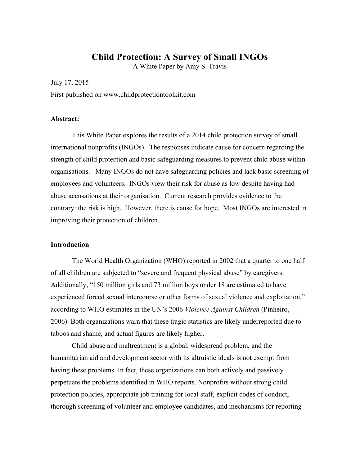# **Child Protection: A Survey of Small INGOs**

A White Paper by Amy S. Travis

July 17, 2015

First published on www.childprotectiontoolkit.com

### **Abstract:**

This White Paper explores the results of a 2014 child protection survey of small international nonprofits (INGOs). The responses indicate cause for concern regarding the strength of child protection and basic safeguarding measures to prevent child abuse within organisations. Many INGOs do not have safeguarding policies and lack basic screening of employees and volunteers. INGOs view their risk for abuse as low despite having had abuse accusations at their organisation. Current research provides evidence to the contrary: the risk is high. However, there is cause for hope. Most INGOs are interested in improving their protection of children.

### **Introduction**

The World Health Organization (WHO) reported in 2002 that a quarter to one half of all children are subjected to "severe and frequent physical abuse" by caregivers. Additionally, "150 million girls and 73 million boys under 18 are estimated to have experienced forced sexual intercourse or other forms of sexual violence and exploitation," according to WHO estimates in the UN's 2006 *Violence Against Children* (Pinheiro, 2006). Both organizations warn that these tragic statistics are likely underreported due to taboos and shame, and actual figures are likely higher.

Child abuse and maltreatment is a global, widespread problem, and the humanitarian aid and development sector with its altruistic ideals is not exempt from having these problems. In fact, these organizations can both actively and passively perpetuate the problems identified in WHO reports. Nonprofits without strong child protection policies, appropriate job training for local staff, explicit codes of conduct, thorough screening of volunteer and employee candidates, and mechanisms for reporting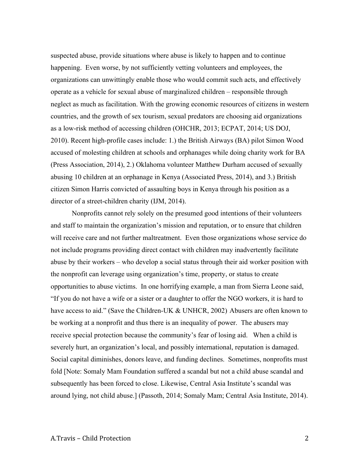suspected abuse, provide situations where abuse is likely to happen and to continue happening. Even worse, by not sufficiently vetting volunteers and employees, the organizations can unwittingly enable those who would commit such acts, and effectively operate as a vehicle for sexual abuse of marginalized children – responsible through neglect as much as facilitation. With the growing economic resources of citizens in western countries, and the growth of sex tourism, sexual predators are choosing aid organizations as a low-risk method of accessing children (OHCHR, 2013; ECPAT, 2014; US DOJ, 2010). Recent high-profile cases include: 1.) the British Airways (BA) pilot Simon Wood accused of molesting children at schools and orphanages while doing charity work for BA (Press Association, 2014), 2.) Oklahoma volunteer Matthew Durham accused of sexually abusing 10 children at an orphanage in Kenya (Associated Press, 2014), and 3.) British citizen Simon Harris convicted of assaulting boys in Kenya through his position as a director of a street-children charity (IJM, 2014).

Nonprofits cannot rely solely on the presumed good intentions of their volunteers and staff to maintain the organization's mission and reputation, or to ensure that children will receive care and not further maltreatment. Even those organizations whose service do not include programs providing direct contact with children may inadvertently facilitate abuse by their workers – who develop a social status through their aid worker position with the nonprofit can leverage using organization's time, property, or status to create opportunities to abuse victims. In one horrifying example, a man from Sierra Leone said, "If you do not have a wife or a sister or a daughter to offer the NGO workers, it is hard to have access to aid." (Save the Children-UK & UNHCR, 2002) Abusers are often known to be working at a nonprofit and thus there is an inequality of power. The abusers may receive special protection because the community's fear of losing aid. When a child is severely hurt, an organization's local, and possibly international, reputation is damaged. Social capital diminishes, donors leave, and funding declines. Sometimes, nonprofits must fold [Note: Somaly Mam Foundation suffered a scandal but not a child abuse scandal and subsequently has been forced to close. Likewise, Central Asia Institute's scandal was around lying, not child abuse.] (Passoth, 2014; Somaly Mam; Central Asia Institute, 2014).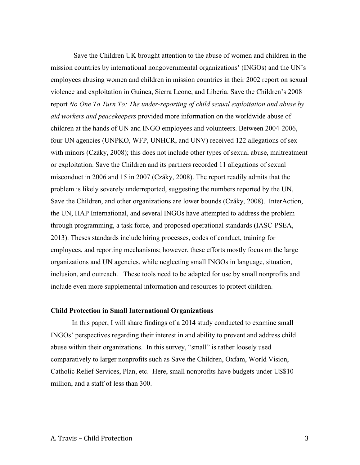Save the Children UK brought attention to the abuse of women and children in the mission countries by international nongovernmental organizations' (INGOs) and the UN's employees abusing women and children in mission countries in their 2002 report on sexual violence and exploitation in Guinea, Sierra Leone, and Liberia. Save the Children's 2008 report *No One To Turn To: The under-reporting of child sexual exploitation and abuse by aid workers and peacekeepers* provided more information on the worldwide abuse of children at the hands of UN and INGO employees and volunteers. Between 2004-2006, four UN agencies (UNPKO, WFP, UNHCR, and UNV) received 122 allegations of sex with minors (Czáky, 2008); this does not include other types of sexual abuse, maltreatment or exploitation. Save the Children and its partners recorded 11 allegations of sexual misconduct in 2006 and 15 in 2007 (Czáky, 2008). The report readily admits that the problem is likely severely underreported, suggesting the numbers reported by the UN, Save the Children, and other organizations are lower bounds (Czáky, 2008). InterAction, the UN, HAP International, and several INGOs have attempted to address the problem through programming, a task force, and proposed operational standards (IASC-PSEA, 2013). Theses standards include hiring processes, codes of conduct, training for employees, and reporting mechanisms; however, these efforts mostly focus on the large organizations and UN agencies, while neglecting small INGOs in language, situation, inclusion, and outreach. These tools need to be adapted for use by small nonprofits and include even more supplemental information and resources to protect children.

### **Child Protection in Small International Organizations**

In this paper, I will share findings of a 2014 study conducted to examine small INGOs' perspectives regarding their interest in and ability to prevent and address child abuse within their organizations. In this survey, "small" is rather loosely used comparatively to larger nonprofits such as Save the Children, Oxfam, World Vision, Catholic Relief Services, Plan, etc. Here, small nonprofits have budgets under US\$10 million, and a staff of less than 300.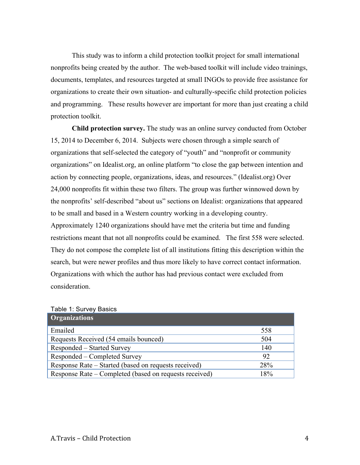This study was to inform a child protection toolkit project for small international nonprofits being created by the author. The web-based toolkit will include video trainings, documents, templates, and resources targeted at small INGOs to provide free assistance for organizations to create their own situation- and culturally-specific child protection policies and programming. These results however are important for more than just creating a child protection toolkit.

**Child protection survey.** The study was an online survey conducted from October 15, 2014 to December 6, 2014. Subjects were chosen through a simple search of organizations that self-selected the category of "youth" and "nonprofit or community organizations" on Idealist.org, an online platform "to close the gap between intention and action by connecting people, organizations, ideas, and resources." (Idealist.org) Over 24,000 nonprofits fit within these two filters. The group was further winnowed down by the nonprofits' self-described "about us" sections on Idealist: organizations that appeared to be small and based in a Western country working in a developing country. Approximately 1240 organizations should have met the criteria but time and funding restrictions meant that not all nonprofits could be examined. The first 558 were selected.

They do not compose the complete list of all institutions fitting this description within the search, but were newer profiles and thus more likely to have correct contact information. Organizations with which the author has had previous contact were excluded from consideration.

| <b>Organizations</b>                                   |     |
|--------------------------------------------------------|-----|
| Emailed                                                | 558 |
| Requests Received (54 emails bounced)                  | 504 |
| Responded – Started Survey                             | 140 |
| Responded – Completed Survey                           | 92  |
| Response Rate – Started (based on requests received)   | 28% |
| Response Rate – Completed (based on requests received) | 18% |

|  |  | Table 1: Survey Basics |  |
|--|--|------------------------|--|
|--|--|------------------------|--|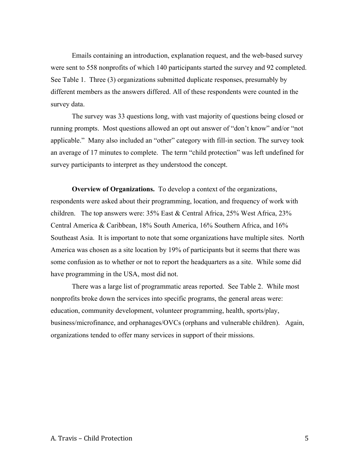Emails containing an introduction, explanation request, and the web-based survey were sent to 558 nonprofits of which 140 participants started the survey and 92 completed. See Table 1. Three (3) organizations submitted duplicate responses, presumably by different members as the answers differed. All of these respondents were counted in the survey data.

The survey was 33 questions long, with vast majority of questions being closed or running prompts. Most questions allowed an opt out answer of "don't know" and/or "not applicable." Many also included an "other" category with fill-in section. The survey took an average of 17 minutes to complete. The term "child protection" was left undefined for survey participants to interpret as they understood the concept.

**Overview of Organizations.** To develop a context of the organizations, respondents were asked about their programming, location, and frequency of work with children. The top answers were: 35% East & Central Africa, 25% West Africa, 23% Central America & Caribbean, 18% South America, 16% Southern Africa, and 16% Southeast Asia. It is important to note that some organizations have multiple sites. North America was chosen as a site location by 19% of participants but it seems that there was some confusion as to whether or not to report the headquarters as a site. While some did have programming in the USA, most did not.

There was a large list of programmatic areas reported. See Table 2. While most nonprofits broke down the services into specific programs, the general areas were: education, community development, volunteer programming, health, sports/play, business/microfinance, and orphanages/OVCs (orphans and vulnerable children). Again, organizations tended to offer many services in support of their missions.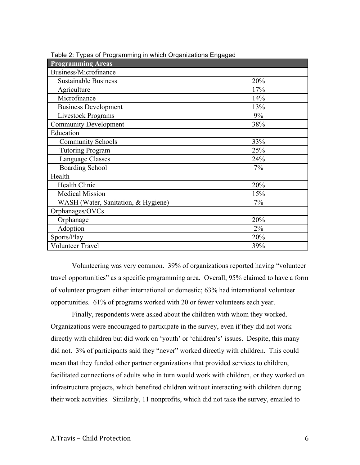| <b>Programming Areas</b>            |     |
|-------------------------------------|-----|
| Business/Microfinance               |     |
| <b>Sustainable Business</b>         | 20% |
| Agriculture                         | 17% |
| Microfinance                        | 14% |
| <b>Business Development</b>         | 13% |
| <b>Livestock Programs</b>           | 9%  |
| <b>Community Development</b>        | 38% |
| Education                           |     |
| <b>Community Schools</b>            | 33% |
| <b>Tutoring Program</b>             | 25% |
| Language Classes                    | 24% |
| <b>Boarding School</b>              | 7%  |
| Health                              |     |
| <b>Health Clinic</b>                | 20% |
| <b>Medical Mission</b>              | 15% |
| WASH (Water, Sanitation, & Hygiene) | 7%  |
| Orphanages/OVCs                     |     |
| Orphanage                           | 20% |
| Adoption                            | 2%  |
| Sports/Play                         | 20% |
| <b>Volunteer Travel</b>             | 39% |

Table 2: Types of Programming in which Organizations Engaged

Volunteering was very common. 39% of organizations reported having "volunteer travel opportunities" as a specific programming area. Overall, 95% claimed to have a form of volunteer program either international or domestic; 63% had international volunteer opportunities. 61% of programs worked with 20 or fewer volunteers each year.

Finally, respondents were asked about the children with whom they worked. Organizations were encouraged to participate in the survey, even if they did not work directly with children but did work on 'youth' or 'children's' issues. Despite, this many did not. 3% of participants said they "never" worked directly with children. This could mean that they funded other partner organizations that provided services to children, facilitated connections of adults who in turn would work with children, or they worked on infrastructure projects, which benefited children without interacting with children during their work activities. Similarly, 11 nonprofits, which did not take the survey, emailed to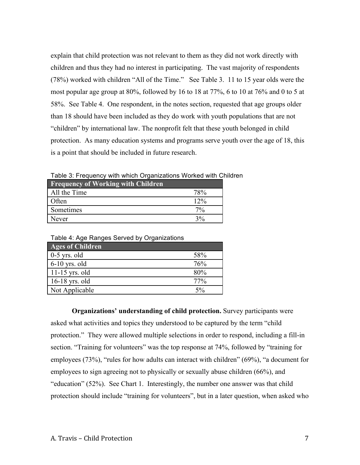explain that child protection was not relevant to them as they did not work directly with children and thus they had no interest in participating. The vast majority of respondents (78%) worked with children "All of the Time." See Table 3. 11 to 15 year olds were the most popular age group at 80%, followed by 16 to 18 at 77%, 6 to 10 at 76% and 0 to 5 at 58%. See Table 4. One respondent, in the notes section, requested that age groups older than 18 should have been included as they do work with youth populations that are not "children" by international law. The nonprofit felt that these youth belonged in child protection. As many education systems and programs serve youth over the age of 18, this is a point that should be included in future research.

**Frequency of Working with Children** All the Time 78% Often 12% Sometimes 7% Never  $3\%$ 

| Table 4: Age Ranges Served by Organizations |       |
|---------------------------------------------|-------|
| <b>Ages of Children</b>                     |       |
| $0-5$ yrs. old                              | 58%   |
| $6-10$ yrs. old                             | 76%   |
| $11-15$ yrs. old                            | 80%   |
| $16-18$ yrs. old                            | 77%   |
| Not Applicable                              | $5\%$ |

Table 3: Frequency with which Organizations Worked with Children

**Organizations' understanding of child protection.** Survey participants were asked what activities and topics they understood to be captured by the term "child protection." They were allowed multiple selections in order to respond, including a fill-in section. "Training for volunteers" was the top response at 74%, followed by "training for employees (73%), "rules for how adults can interact with children" (69%), "a document for employees to sign agreeing not to physically or sexually abuse children (66%), and "education" (52%). See Chart 1. Interestingly, the number one answer was that child protection should include "training for volunteers", but in a later question, when asked who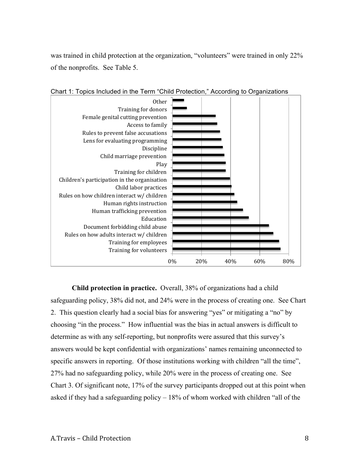was trained in child protection at the organization, "volunteers" were trained in only 22% of the nonprofits. See Table 5.



Chart 1: Topics Included in the Term "Child Protection," According to Organizations

**Child protection in practice.** Overall, 38% of organizations had a child safeguarding policy, 38% did not, and 24% were in the process of creating one. See Chart 2. This question clearly had a social bias for answering "yes" or mitigating a "no" by choosing "in the process." How influential was the bias in actual answers is difficult to determine as with any self-reporting, but nonprofits were assured that this survey's answers would be kept confidential with organizations' names remaining unconnected to specific answers in reporting. Of those institutions working with children "all the time", 27% had no safeguarding policy, while 20% were in the process of creating one. See Chart 3. Of significant note, 17% of the survey participants dropped out at this point when asked if they had a safeguarding policy – 18% of whom worked with children "all of the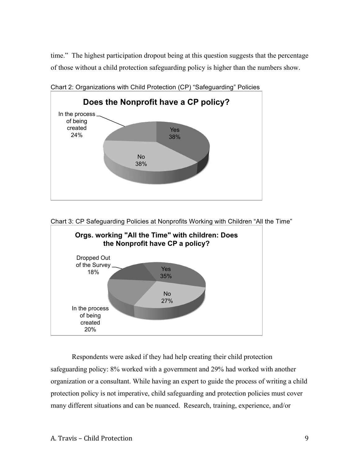time." The highest participation dropout being at this question suggests that the percentage of those without a child protection safeguarding policy is higher than the numbers show.



Chart 2: Organizations with Child Protection (CP) "Safeguarding" Policies





Respondents were asked if they had help creating their child protection safeguarding policy: 8% worked with a government and 29% had worked with another organization or a consultant. While having an expert to guide the process of writing a child protection policy is not imperative, child safeguarding and protection policies must cover many different situations and can be nuanced. Research, training, experience, and/or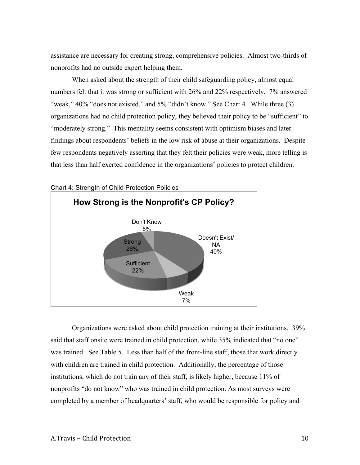assistance are necessary for creating strong, comprehensive policies. Almost two-thirds of nonprofits had no outside expert helping them.

When asked about the strength of their child safeguarding policy, almost equal numbers felt that it was strong or sufficient with 26% and 22% respectively. 7% answered "weak," 40% "does not existed," and 5% "didn't know." See Chart 4. While three (3) organizations had no child protection policy, they believed their policy to be "sufficient" to "moderately strong." This mentality seems consistent with optimism biases and later findings about respondents' beliefs in the low risk of abuse at their organizations. Despite few respondents negatively asserting that they felt their policies were weak, more telling is that less than half exerted confidence in the organizations' policies to protect children.



Chart 4: Strength of Child Protection Policies

Organizations were asked about child protection training at their institutions. 39% said that staff onsite were trained in child protection, while 35% indicated that "no one" was trained. See Table 5. Less than half of the front-line staff, those that work directly with children are trained in child protection. Additionally, the percentage of those institutions, which do not train any of their staff, is likely higher, because 11% of nonprofits "do not know" who was trained in child protection. As most surveys were completed by a member of headquarters' staff, who would be responsible for policy and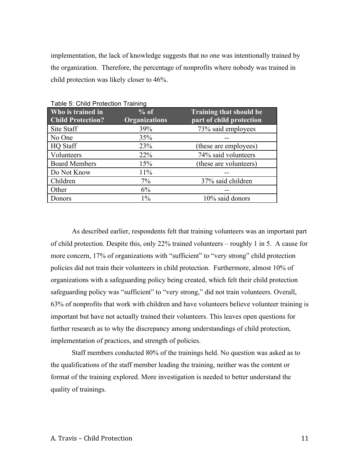implementation, the lack of knowledge suggests that no one was intentionally trained by the organization. Therefore, the percentage of nonprofits where nobody was trained in child protection was likely closer to 46%.

| Who is trained in<br><b>Child Protection?</b> | $%$ of<br><b>Organizations</b> | <b>Training that should be</b><br>part of child protection |
|-----------------------------------------------|--------------------------------|------------------------------------------------------------|
| Site Staff                                    | 39%                            | 73% said employees                                         |
| No One                                        | 35%                            |                                                            |
| <b>HQ</b> Staff                               | 23%                            | (these are employees)                                      |
| Volunteers                                    | 22%                            | 74% said volunteers                                        |
| <b>Board Members</b>                          | 15%                            | (these are volunteers)                                     |
| Do Not Know                                   | 11%                            |                                                            |
| Children                                      | $7\%$                          | 37% said children                                          |
| Other                                         | 6%                             |                                                            |
| Donors                                        | $1\%$                          | 10% said donors                                            |

Table 5: Child Protection Training

As described earlier, respondents felt that training volunteers was an important part of child protection. Despite this, only 22% trained volunteers – roughly 1 in 5. A cause for more concern, 17% of organizations with "sufficient" to "very strong" child protection policies did not train their volunteers in child protection. Furthermore, almost 10% of organizations with a safeguarding policy being created, which felt their child protection safeguarding policy was "sufficient" to "very strong," did not train volunteers. Overall, 63% of nonprofits that work with children and have volunteers believe volunteer training is important but have not actually trained their volunteers. This leaves open questions for further research as to why the discrepancy among understandings of child protection, implementation of practices, and strength of policies.

Staff members conducted 80% of the trainings held. No question was asked as to the qualifications of the staff member leading the training, neither was the content or format of the training explored. More investigation is needed to better understand the quality of trainings.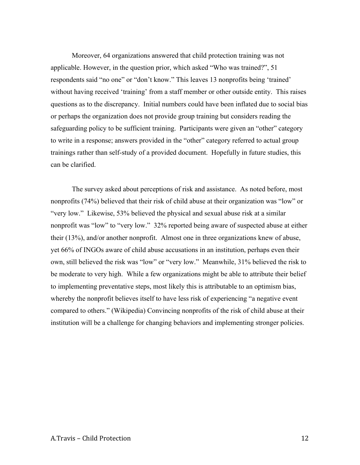Moreover, 64 organizations answered that child protection training was not applicable. However, in the question prior, which asked "Who was trained?", 51 respondents said "no one" or "don't know." This leaves 13 nonprofits being 'trained' without having received 'training' from a staff member or other outside entity. This raises questions as to the discrepancy. Initial numbers could have been inflated due to social bias or perhaps the organization does not provide group training but considers reading the safeguarding policy to be sufficient training. Participants were given an "other" category to write in a response; answers provided in the "other" category referred to actual group trainings rather than self-study of a provided document. Hopefully in future studies, this can be clarified.

The survey asked about perceptions of risk and assistance. As noted before, most nonprofits (74%) believed that their risk of child abuse at their organization was "low" or "very low." Likewise, 53% believed the physical and sexual abuse risk at a similar nonprofit was "low" to "very low." 32% reported being aware of suspected abuse at either their (13%), and/or another nonprofit. Almost one in three organizations knew of abuse, yet 66% of INGOs aware of child abuse accusations in an institution, perhaps even their own, still believed the risk was "low" or "very low." Meanwhile, 31% believed the risk to be moderate to very high. While a few organizations might be able to attribute their belief to implementing preventative steps, most likely this is attributable to an optimism bias, whereby the nonprofit believes itself to have less risk of experiencing "a negative event compared to others." (Wikipedia) Convincing nonprofits of the risk of child abuse at their institution will be a challenge for changing behaviors and implementing stronger policies.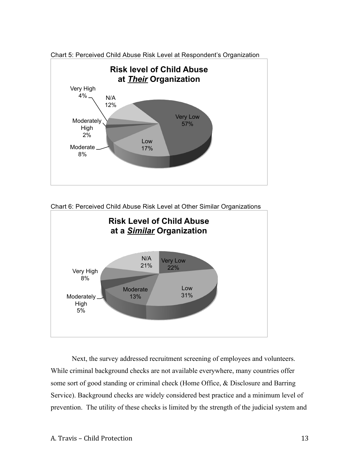

Chart 5: Perceived Child Abuse Risk Level at Respondent's Organization

Chart 6: Perceived Child Abuse Risk Level at Other Similar Organizations



Next, the survey addressed recruitment screening of employees and volunteers. While criminal background checks are not available everywhere, many countries offer some sort of good standing or criminal check (Home Office, & Disclosure and Barring Service). Background checks are widely considered best practice and a minimum level of prevention. The utility of these checks is limited by the strength of the judicial system and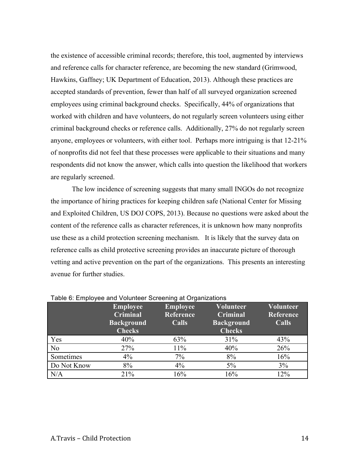the existence of accessible criminal records; therefore, this tool, augmented by interviews and reference calls for character reference, are becoming the new standard (Grimwood, Hawkins, Gaffney; UK Department of Education, 2013). Although these practices are accepted standards of prevention, fewer than half of all surveyed organization screened employees using criminal background checks. Specifically, 44% of organizations that worked with children and have volunteers, do not regularly screen volunteers using either criminal background checks or reference calls. Additionally, 27% do not regularly screen anyone, employees or volunteers, with either tool. Perhaps more intriguing is that 12-21% of nonprofits did not feel that these processes were applicable to their situations and many respondents did not know the answer, which calls into question the likelihood that workers are regularly screened.

The low incidence of screening suggests that many small INGOs do not recognize the importance of hiring practices for keeping children safe (National Center for Missing and Exploited Children, US DOJ COPS, 2013). Because no questions were asked about the content of the reference calls as character references, it is unknown how many nonprofits use these as a child protection screening mechanism. It is likely that the survey data on reference calls as child protective screening provides an inaccurate picture of thorough vetting and active prevention on the part of the organizations. This presents an interesting avenue for further studies.

| rabic of Employee and Volunteer ocitetinity at Organizations | <b>Employee</b><br><b>Criminal</b><br><b>Background</b><br><b>Checks</b> | <b>Employee</b><br>Reference<br>Calls | <b>Volunteer</b><br><b>Criminal</b><br><b>Background</b><br><b>Checks</b> | Volunteer<br>Reference<br><b>Calls</b> |
|--------------------------------------------------------------|--------------------------------------------------------------------------|---------------------------------------|---------------------------------------------------------------------------|----------------------------------------|
| Yes                                                          | 40%                                                                      | 63%                                   | 31%                                                                       | 43%                                    |
| N <sub>o</sub>                                               | 27%                                                                      | 11%                                   | 40%                                                                       | 26%                                    |
| Sometimes                                                    | 4%                                                                       | 7%                                    | 8%                                                                        | 16%                                    |
| Do Not Know                                                  | 8%                                                                       | 4%                                    | 5%                                                                        | 3%                                     |
| N/A                                                          | 21%                                                                      | 16%                                   | 16%                                                                       | 12%                                    |

Table 6: Employee and Volunteer Screening at Organizations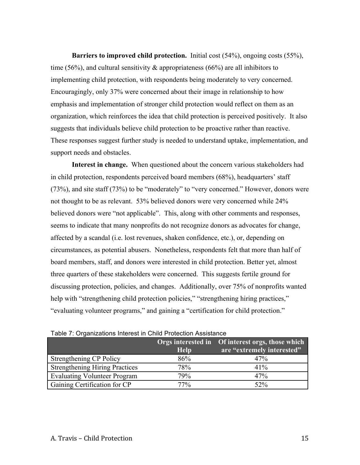**Barriers to improved child protection.** Initial cost (54%), ongoing costs (55%), time (56%), and cultural sensitivity  $\&$  appropriateness (66%) are all inhibitors to implementing child protection, with respondents being moderately to very concerned. Encouragingly, only 37% were concerned about their image in relationship to how emphasis and implementation of stronger child protection would reflect on them as an organization, which reinforces the idea that child protection is perceived positively. It also suggests that individuals believe child protection to be proactive rather than reactive. These responses suggest further study is needed to understand uptake, implementation, and support needs and obstacles.

**Interest in change.** When questioned about the concern various stakeholders had in child protection, respondents perceived board members (68%), headquarters' staff (73%), and site staff (73%) to be "moderately" to "very concerned." However, donors were not thought to be as relevant. 53% believed donors were very concerned while 24% believed donors were "not applicable". This, along with other comments and responses, seems to indicate that many nonprofits do not recognize donors as advocates for change, affected by a scandal (i.e. lost revenues, shaken confidence, etc.), or, depending on circumstances, as potential abusers. Nonetheless, respondents felt that more than half of board members, staff, and donors were interested in child protection. Better yet, almost three quarters of these stakeholders were concerned. This suggests fertile ground for discussing protection, policies, and changes. Additionally, over 75% of nonprofits wanted help with "strengthening child protection policies," "strengthening hiring practices," "evaluating volunteer programs," and gaining a "certification for child protection."

|                                       | <b>Help</b> | Orgs interested in Of interest orgs, those which<br>are "extremely interested" |
|---------------------------------------|-------------|--------------------------------------------------------------------------------|
| Strengthening CP Policy               | 86%         | 47%                                                                            |
| <b>Strengthening Hiring Practices</b> | 78%         | $41\%$                                                                         |
| <b>Evaluating Volunteer Program</b>   | 79%         | 47%                                                                            |
| Gaining Certification for CP          | 77%         | 52%                                                                            |

Table 7: Organizations Interest in Child Protection Assistance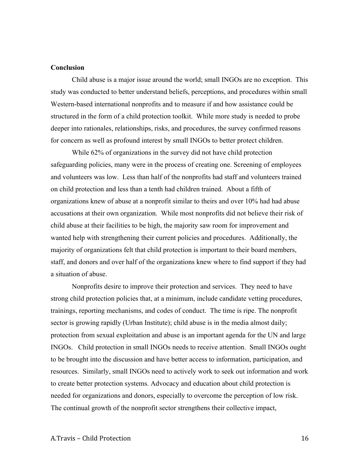## **Conclusion**

Child abuse is a major issue around the world; small INGOs are no exception. This study was conducted to better understand beliefs, perceptions, and procedures within small Western-based international nonprofits and to measure if and how assistance could be structured in the form of a child protection toolkit. While more study is needed to probe deeper into rationales, relationships, risks, and procedures, the survey confirmed reasons for concern as well as profound interest by small INGOs to better protect children.

While 62% of organizations in the survey did not have child protection safeguarding policies, many were in the process of creating one. Screening of employees and volunteers was low. Less than half of the nonprofits had staff and volunteers trained on child protection and less than a tenth had children trained. About a fifth of organizations knew of abuse at a nonprofit similar to theirs and over 10% had had abuse accusations at their own organization. While most nonprofits did not believe their risk of child abuse at their facilities to be high, the majority saw room for improvement and wanted help with strengthening their current policies and procedures. Additionally, the majority of organizations felt that child protection is important to their board members, staff, and donors and over half of the organizations knew where to find support if they had a situation of abuse.

Nonprofits desire to improve their protection and services. They need to have strong child protection policies that, at a minimum, include candidate vetting procedures, trainings, reporting mechanisms, and codes of conduct. The time is ripe. The nonprofit sector is growing rapidly (Urban Institute); child abuse is in the media almost daily; protection from sexual exploitation and abuse is an important agenda for the UN and large INGOs. Child protection in small INGOs needs to receive attention. Small INGOs ought to be brought into the discussion and have better access to information, participation, and resources. Similarly, small INGOs need to actively work to seek out information and work to create better protection systems. Advocacy and education about child protection is needed for organizations and donors, especially to overcome the perception of low risk. The continual growth of the nonprofit sector strengthens their collective impact,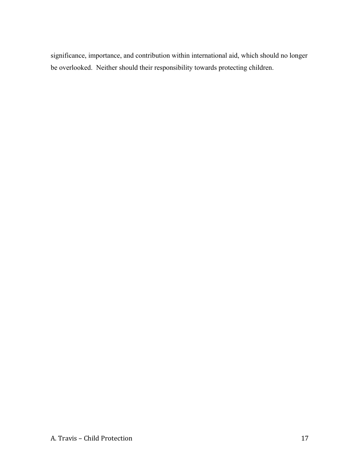significance, importance, and contribution within international aid, which should no longer be overlooked. Neither should their responsibility towards protecting children.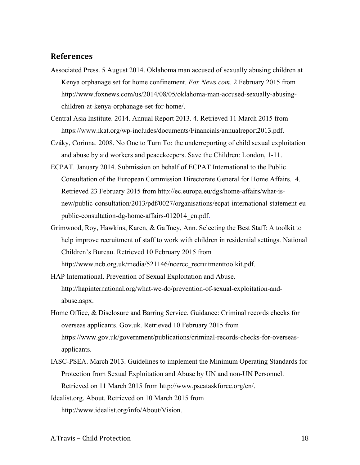## **References**

- Associated Press. 5 August 2014. Oklahoma man accused of sexually abusing children at Kenya orphanage set for home confinement. *Fox News.com*. 2 February 2015 from http://www.foxnews.com/us/2014/08/05/oklahoma-man-accused-sexually-abusingchildren-at-kenya-orphanage-set-for-home/.
- Central Asia Institute. 2014. Annual Report 2013. 4. Retrieved 11 March 2015 from https://www.ikat.org/wp-includes/documents/Financials/annualreport2013.pdf.
- Czáky, Corinna. 2008. No One to Turn To: the underreporting of child sexual exploitation and abuse by aid workers and peacekeepers. Save the Children: London, 1-11.
- ECPAT. January 2014. Submission on behalf of ECPAT International to the Public Consultation of the European Commission Directorate General for Home Affairs. 4. Retrieved 23 February 2015 from http://ec.europa.eu/dgs/home-affairs/what-isnew/public-consultation/2013/pdf/0027/organisations/ecpat-international-statement-eupublic-consultation-dg-home-affairs-012014\_en.pdf.
- Grimwood, Roy, Hawkins, Karen, & Gaffney, Ann. Selecting the Best Staff: A toolkit to help improve recruitment of staff to work with children in residential settings. National Children's Bureau. Retrieved 10 February 2015 from http://www.ncb.org.uk/media/521146/ncercc\_recruitmenttoolkit.pdf.
- HAP International. Prevention of Sexual Exploitation and Abuse. http://hapinternational.org/what-we-do/prevention-of-sexual-exploitation-andabuse.aspx.
- Home Office, & Disclosure and Barring Service. Guidance: Criminal records checks for overseas applicants. Gov.uk. Retrieved 10 February 2015 from https://www.gov.uk/government/publications/criminal-records-checks-for-overseasapplicants.
- IASC-PSEA. March 2013. Guidelines to implement the Minimum Operating Standards for Protection from Sexual Exploitation and Abuse by UN and non-UN Personnel. Retrieved on 11 March 2015 from http://www.pseataskforce.org/en/.
- Idealist.org. About. Retrieved on 10 March 2015 from http://www.idealist.org/info/About/Vision.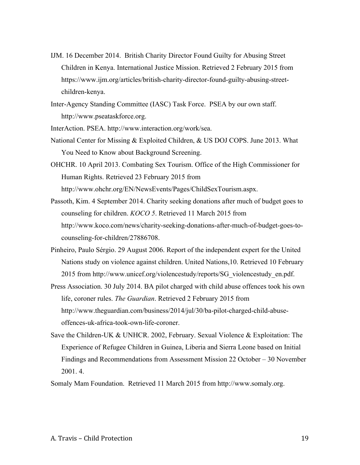- IJM. 16 December 2014. British Charity Director Found Guilty for Abusing Street Children in Kenya. International Justice Mission. Retrieved 2 February 2015 from https://www.ijm.org/articles/british-charity-director-found-guilty-abusing-streetchildren-kenya.
- Inter-Agency Standing Committee (IASC) Task Force. PSEA by our own staff. http://www.pseataskforce.org.

InterAction. PSEA. http://www.interaction.org/work/sea.

- National Center for Missing & Exploited Children, & US DOJ COPS. June 2013. What You Need to Know about Background Screening.
- OHCHR. 10 April 2013. Combating Sex Tourism. Office of the High Commissioner for Human Rights. Retrieved 23 February 2015 from http://www.ohchr.org/EN/NewsEvents/Pages/ChildSexTourism.aspx.

Passoth, Kim. 4 September 2014. Charity seeking donations after much of budget goes to counseling for children. *KOCO 5*. Retrieved 11 March 2015 from http://www.koco.com/news/charity-seeking-donations-after-much-of-budget-goes-tocounseling-for-children/27886708.

- Pinheiro, Paulo Sérgio. 29 August 2006. Report of the independent expert for the United Nations study on violence against children. United Nations,10. Retrieved 10 February 2015 from http://www.unicef.org/violencestudy/reports/SG\_violencestudy\_en.pdf.
- Press Association. 30 July 2014. BA pilot charged with child abuse offences took his own life, coroner rules. *The Guardian*. Retrieved 2 February 2015 from http://www.theguardian.com/business/2014/jul/30/ba-pilot-charged-child-abuseoffences-uk-africa-took-own-life-coroner.
- Save the Children-UK & UNHCR. 2002, February. Sexual Violence & Exploitation: The Experience of Refugee Children in Guinea, Liberia and Sierra Leone based on Initial Findings and Recommendations from Assessment Mission 22 October – 30 November 2001. 4.

Somaly Mam Foundation. Retrieved 11 March 2015 from http://www.somaly.org.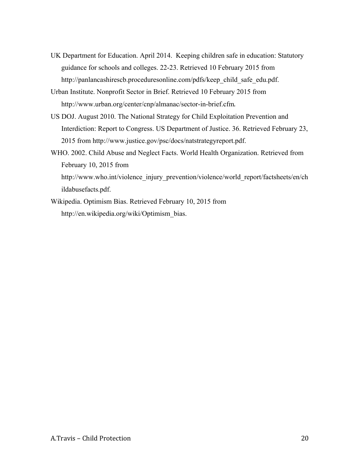- UK Department for Education. April 2014. Keeping children safe in education: Statutory guidance for schools and colleges. 22-23. Retrieved 10 February 2015 from http://panlancashirescb.proceduresonline.com/pdfs/keep\_child\_safe\_edu.pdf.
- Urban Institute. Nonprofit Sector in Brief. Retrieved 10 February 2015 from http://www.urban.org/center/cnp/almanac/sector-in-brief.cfm.
- US DOJ. August 2010. The National Strategy for Child Exploitation Prevention and Interdiction: Report to Congress. US Department of Justice. 36. Retrieved February 23, 2015 from http://www.justice.gov/psc/docs/natstrategyreport.pdf.
- WHO. 2002. Child Abuse and Neglect Facts. World Health Organization. Retrieved from February 10, 2015 from http://www.who.int/violence\_injury\_prevention/violence/world\_report/factsheets/en/ch

ildabusefacts.pdf.

Wikipedia. Optimism Bias. Retrieved February 10, 2015 from http://en.wikipedia.org/wiki/Optimism\_bias.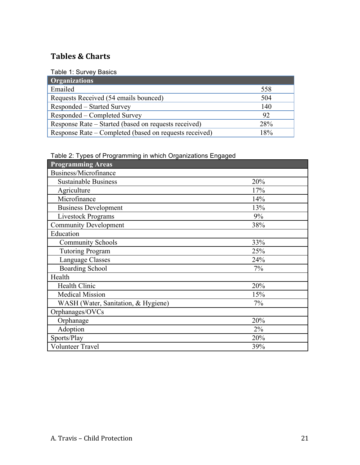# **Tables & Charts**

Table 1: Survey Basics

| <b>Organizations</b>                                   |            |
|--------------------------------------------------------|------------|
| Emailed                                                | 558        |
| Requests Received (54 emails bounced)                  | 504        |
| Responded – Started Survey                             | 140        |
| Responded – Completed Survey                           | 92         |
| Response Rate – Started (based on requests received)   | <b>28%</b> |
| Response Rate – Completed (based on requests received) | 18%        |

Table 2: Types of Programming in which Organizations Engaged

| <b>Programming Areas</b>            |       |
|-------------------------------------|-------|
| Business/Microfinance               |       |
| <b>Sustainable Business</b>         | 20%   |
| Agriculture                         | 17%   |
| Microfinance                        | 14%   |
| <b>Business Development</b>         | 13%   |
| <b>Livestock Programs</b>           | 9%    |
| <b>Community Development</b>        | 38%   |
| Education                           |       |
| <b>Community Schools</b>            | 33%   |
| <b>Tutoring Program</b>             | 25%   |
| Language Classes                    | 24%   |
| <b>Boarding School</b>              | 7%    |
| Health                              |       |
| <b>Health Clinic</b>                | 20%   |
| <b>Medical Mission</b>              | 15%   |
| WASH (Water, Sanitation, & Hygiene) | 7%    |
| Orphanages/OVCs                     |       |
| Orphanage                           | 20%   |
| Adoption                            | $2\%$ |
| Sports/Play                         | 20%   |
| <b>Volunteer Travel</b>             | 39%   |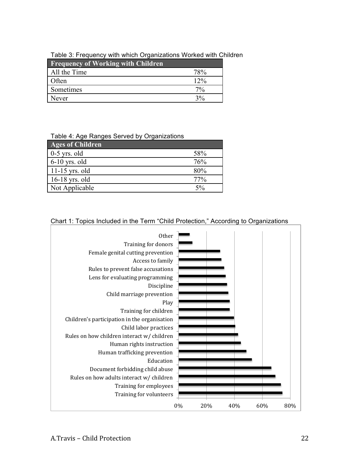## Table 3: Frequency with which Organizations Worked with Children

| <b>Frequency of Working with Children</b> |                                |
|-------------------------------------------|--------------------------------|
| All the Time                              | 78 <sup>o</sup> / <sub>0</sub> |
| Often                                     | $12\%$                         |
| Sometimes                                 | $7\%$                          |
| Never                                     | 3%                             |

### Table 4: Age Ranges Served by Organizations

| <b>Ages of Children</b> |        |
|-------------------------|--------|
| $0-5$ yrs. old          | 58%    |
| $6-10$ yrs. old         | 76%    |
| $11-15$ yrs. old        | 80%    |
| $16-18$ yrs. old        | $77\%$ |
| Not Applicable          | $5\%$  |

# Chart 1: Topics Included in the Term "Child Protection," According to Organizations

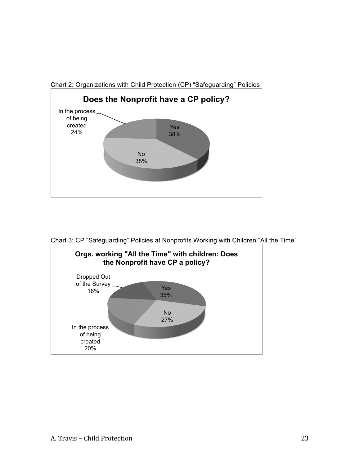





Chart 3: CP "Safeguarding" Policies at Nonprofits Working with Children "All the Time"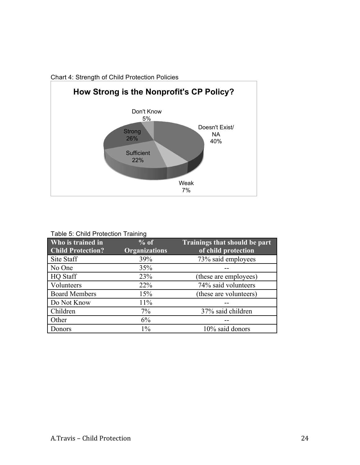

Chart 4: Strength of Child Protection Policies

| Table 5: Child Protection Training |  |
|------------------------------------|--|
|------------------------------------|--|

| Who is trained in<br><b>Child Protection?</b> | $%$ of<br><b>Organizations</b> | Trainings that should be part<br>of child protection |
|-----------------------------------------------|--------------------------------|------------------------------------------------------|
| Site Staff                                    | 39%                            | 73% said employees                                   |
| No One                                        | 35%                            |                                                      |
| <b>HQ</b> Staff                               | 23%                            | (these are employees)                                |
| Volunteers                                    | 22%                            | 74% said volunteers                                  |
| <b>Board Members</b>                          | 15%                            | (these are volunteers)                               |
| Do Not Know                                   | 11%                            |                                                      |
| Children                                      | 7%                             | 37% said children                                    |
| Other                                         | 6%                             |                                                      |
| Donors                                        | $1\%$                          | 10% said donors                                      |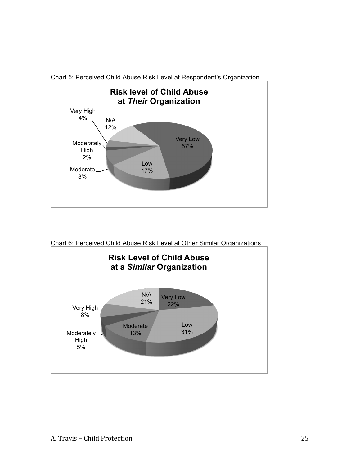

Chart 5: Perceived Child Abuse Risk Level at Respondent's Organization